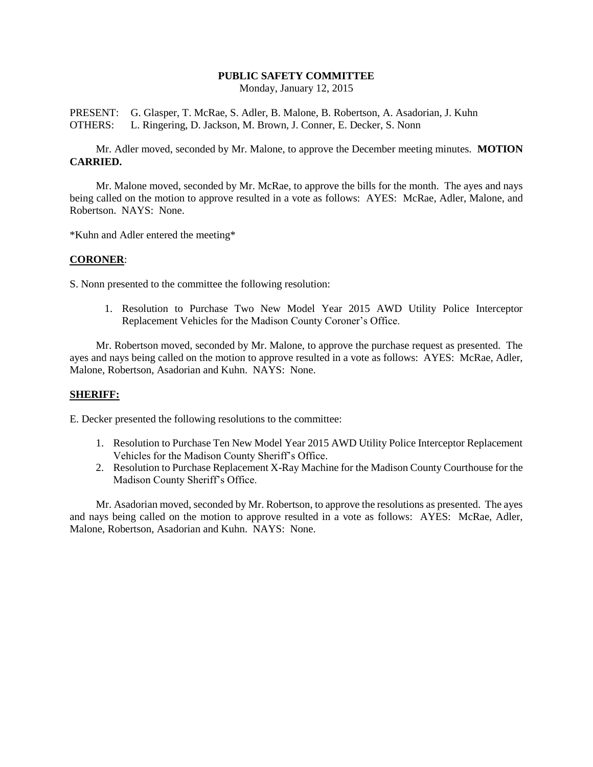# **PUBLIC SAFETY COMMITTEE**

Monday, January 12, 2015

PRESENT: G. Glasper, T. McRae, S. Adler, B. Malone, B. Robertson, A. Asadorian, J. Kuhn OTHERS: L. Ringering, D. Jackson, M. Brown, J. Conner, E. Decker, S. Nonn

Mr. Adler moved, seconded by Mr. Malone, to approve the December meeting minutes. **MOTION CARRIED.**

Mr. Malone moved, seconded by Mr. McRae, to approve the bills for the month. The ayes and nays being called on the motion to approve resulted in a vote as follows: AYES: McRae, Adler, Malone, and Robertson. NAYS: None.

\*Kuhn and Adler entered the meeting\*

### **CORONER**:

S. Nonn presented to the committee the following resolution:

1. Resolution to Purchase Two New Model Year 2015 AWD Utility Police Interceptor Replacement Vehicles for the Madison County Coroner's Office.

Mr. Robertson moved, seconded by Mr. Malone, to approve the purchase request as presented. The ayes and nays being called on the motion to approve resulted in a vote as follows: AYES: McRae, Adler, Malone, Robertson, Asadorian and Kuhn. NAYS: None.

## **SHERIFF:**

E. Decker presented the following resolutions to the committee:

- 1. Resolution to Purchase Ten New Model Year 2015 AWD Utility Police Interceptor Replacement Vehicles for the Madison County Sheriff's Office.
- 2. Resolution to Purchase Replacement X-Ray Machine for the Madison County Courthouse for the Madison County Sheriff's Office.

Mr. Asadorian moved, seconded by Mr. Robertson, to approve the resolutions as presented. The ayes and nays being called on the motion to approve resulted in a vote as follows: AYES: McRae, Adler, Malone, Robertson, Asadorian and Kuhn. NAYS: None.